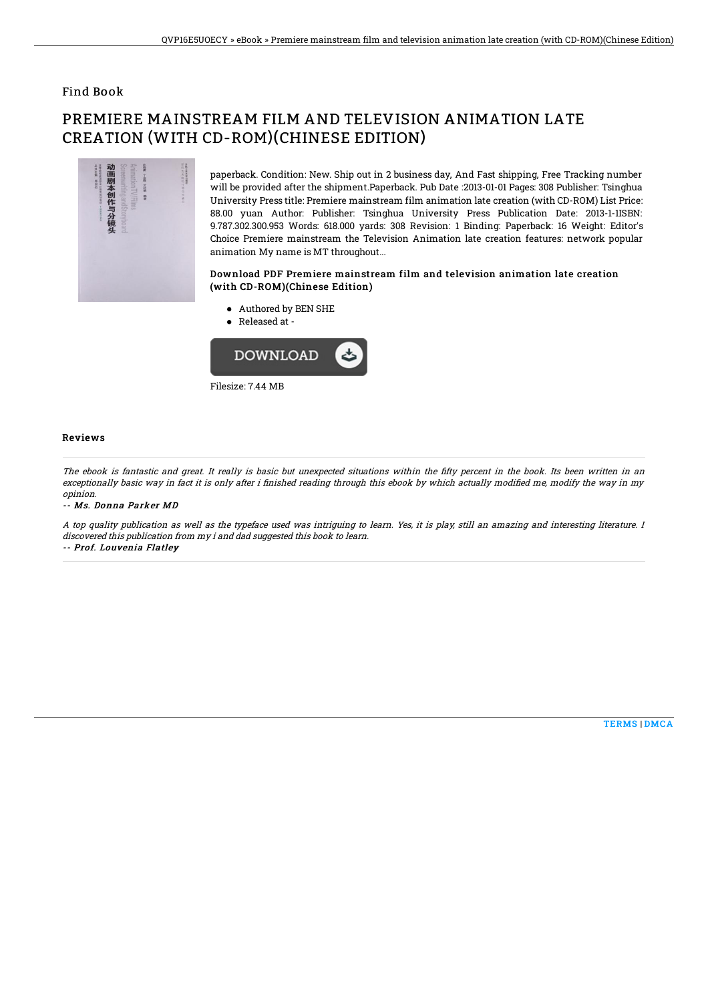### Find Book

# PREMIERE MAINSTREAM FILM AND TELEVISION ANIMATION LATE CREATION (WITH CD-ROM)(CHINESE EDITION)



paperback. Condition: New. Ship out in 2 business day, And Fast shipping, Free Tracking number will be provided after the shipment.Paperback. Pub Date :2013-01-01 Pages: 308 Publisher: Tsinghua University Press title: Premiere mainstream film animation late creation (with CD-ROM) List Price: 88.00 yuan Author: Publisher: Tsinghua University Press Publication Date: 2013-1-1ISBN: 9.787.302.300.953 Words: 618.000 yards: 308 Revision: 1 Binding: Paperback: 16 Weight: Editor's Choice Premiere mainstream the Television Animation late creation features: network popular animation My name is MT throughout...

#### Download PDF Premiere mainstream film and television animation late creation (with CD-ROM)(Chinese Edition)

- Authored by BEN SHE
- Released at -



#### Reviews

The ebook is fantastic and great. It really is basic but unexpected situations within the fifty percent in the book. Its been written in an exceptionally basic way in fact it is only after i finished reading through this ebook by which actually modified me, modify the way in my opinion.

-- Ms. Donna Parker MD

A top quality publication as well as the typeface used was intriguing to learn. Yes, it is play, still an amazing and interesting literature. I discovered this publication from my i and dad suggested this book to learn. -- Prof. Louvenia Flatley